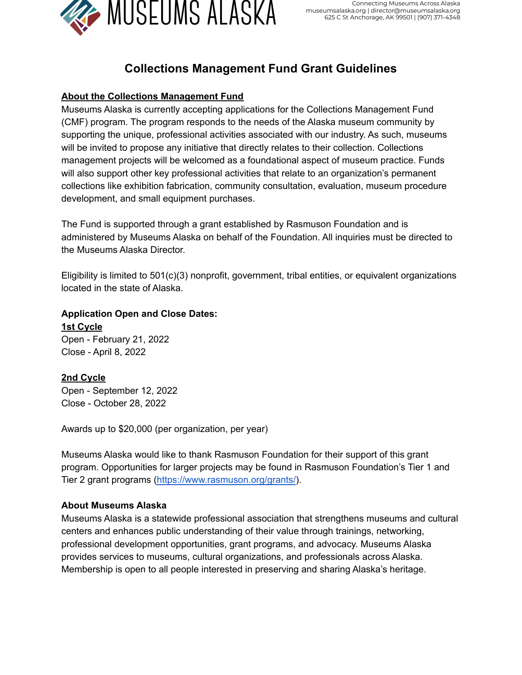

# **Collections Management Fund Grant Guidelines**

# **About the Collections Management Fund**

Museums Alaska is currently accepting applications for the Collections Management Fund (CMF) program. The program responds to the needs of the Alaska museum community by supporting the unique, professional activities associated with our industry. As such, museums will be invited to propose any initiative that directly relates to their collection. Collections management projects will be welcomed as a foundational aspect of museum practice. Funds will also support other key professional activities that relate to an organization's permanent collections like exhibition fabrication, community consultation, evaluation, museum procedure development, and small equipment purchases.

The Fund is supported through a grant established by Rasmuson Foundation and is administered by Museums Alaska on behalf of the Foundation. All inquiries must be directed to the Museums Alaska Director.

Eligibility is limited to 501(c)(3) nonprofit, government, tribal entities, or equivalent organizations located in the state of Alaska.

**Application Open and Close Dates: 1st Cycle**

Open - February 21, 2022 Close - April 8, 2022

# **2nd Cycle**

Open - September 12, 2022 Close - October 28, 2022

Awards up to \$20,000 (per organization, per year)

Museums Alaska would like to thank Rasmuson Foundation for their support of this grant program. Opportunities for larger projects may be found in Rasmuson Foundation's Tier 1 and Tier 2 grant programs (<https://www.rasmuson.org/grants/>).

## **About Museums Alaska**

Museums Alaska is a statewide professional association that strengthens museums and cultural centers and enhances public understanding of their value through trainings, networking, professional development opportunities, grant programs, and advocacy. Museums Alaska provides services to museums, cultural organizations, and professionals across Alaska. Membership is open to all people interested in preserving and sharing Alaska's heritage.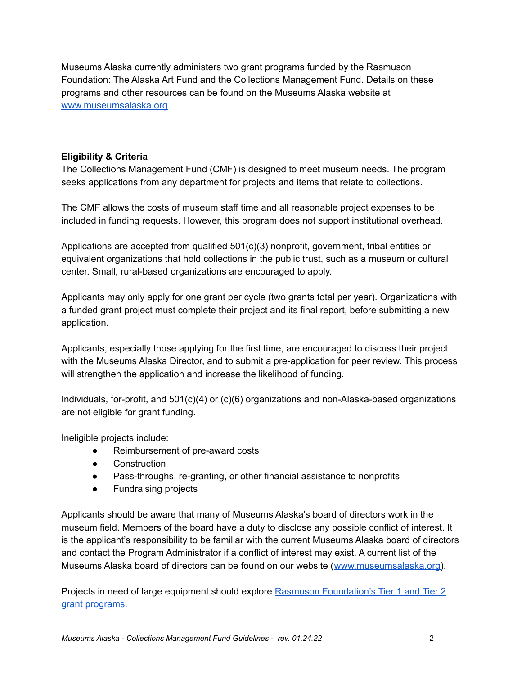Museums Alaska currently administers two grant programs funded by the Rasmuson Foundation: The Alaska Art Fund and the Collections Management Fund. Details on these programs and other resources can be found on the Museums Alaska website at [www.museumsalaska.org.](http://www.museumsalaska.org)

#### **Eligibility & Criteria**

The Collections Management Fund (CMF) is designed to meet museum needs. The program seeks applications from any department for projects and items that relate to collections.

The CMF allows the costs of museum staff time and all reasonable project expenses to be included in funding requests. However, this program does not support institutional overhead.

Applications are accepted from qualified 501(c)(3) nonprofit, government, tribal entities or equivalent organizations that hold collections in the public trust, such as a museum or cultural center. Small, rural-based organizations are encouraged to apply.

Applicants may only apply for one grant per cycle (two grants total per year). Organizations with a funded grant project must complete their project and its final report, before submitting a new application.

Applicants, especially those applying for the first time, are encouraged to discuss their project with the Museums Alaska Director, and to submit a pre-application for peer review. This process will strengthen the application and increase the likelihood of funding.

Individuals, for-profit, and 501(c)(4) or (c)(6) organizations and non-Alaska-based organizations are not eligible for grant funding.

Ineligible projects include:

- Reimbursement of pre-award costs
- Construction
- Pass-throughs, re-granting, or other financial assistance to nonprofits
- Fundraising projects

Applicants should be aware that many of Museums Alaska's board of directors work in the museum field. Members of the board have a duty to disclose any possible conflict of interest. It is the applicant's responsibility to be familiar with the current Museums Alaska board of directors and contact the Program Administrator if a conflict of interest may exist. A current list of the Museums Alaska board of directors can be found on our website ([www.museumsalaska.org\)](http://www.museumsalaska.org/).

Projects in need of large equipment should explore Rasmuson [Foundation's](https://www.rasmuson.org/grants/) Tier 1 and Tier 2 grant [programs.](https://www.rasmuson.org/grants/)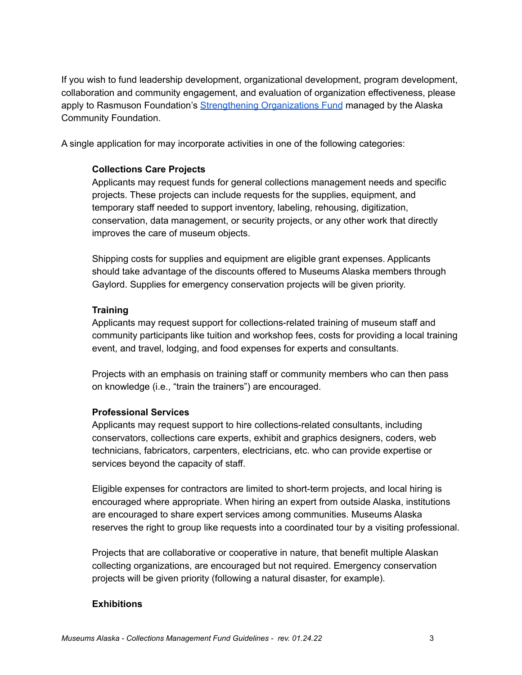If you wish to fund leadership development, organizational development, program development, collaboration and community engagement, and evaluation of organization effectiveness, please apply to Rasmuson Foundation's [Strengthening](https://alaskacf.org/blog/funds/strengthening-organizations/) Organizations Fund managed by the Alaska Community Foundation.

A single application for may incorporate activities in one of the following categories:

#### **Collections Care Projects**

Applicants may request funds for general collections management needs and specific projects. These projects can include requests for the supplies, equipment, and temporary staff needed to support inventory, labeling, rehousing, digitization, conservation, data management, or security projects, or any other work that directly improves the care of museum objects.

Shipping costs for supplies and equipment are eligible grant expenses. Applicants should take advantage of the discounts offered to Museums Alaska members through Gaylord. Supplies for emergency conservation projects will be given priority.

#### **Training**

Applicants may request support for collections-related training of museum staff and community participants like tuition and workshop fees, costs for providing a local training event, and travel, lodging, and food expenses for experts and consultants.

Projects with an emphasis on training staff or community members who can then pass on knowledge (i.e., "train the trainers") are encouraged.

#### **Professional Services**

Applicants may request support to hire collections-related consultants, including conservators, collections care experts, exhibit and graphics designers, coders, web technicians, fabricators, carpenters, electricians, etc. who can provide expertise or services beyond the capacity of staff.

Eligible expenses for contractors are limited to short-term projects, and local hiring is encouraged where appropriate. When hiring an expert from outside Alaska, institutions are encouraged to share expert services among communities. Museums Alaska reserves the right to group like requests into a coordinated tour by a visiting professional.

Projects that are collaborative or cooperative in nature, that benefit multiple Alaskan collecting organizations, are encouraged but not required. Emergency conservation projects will be given priority (following a natural disaster, for example).

## **Exhibitions**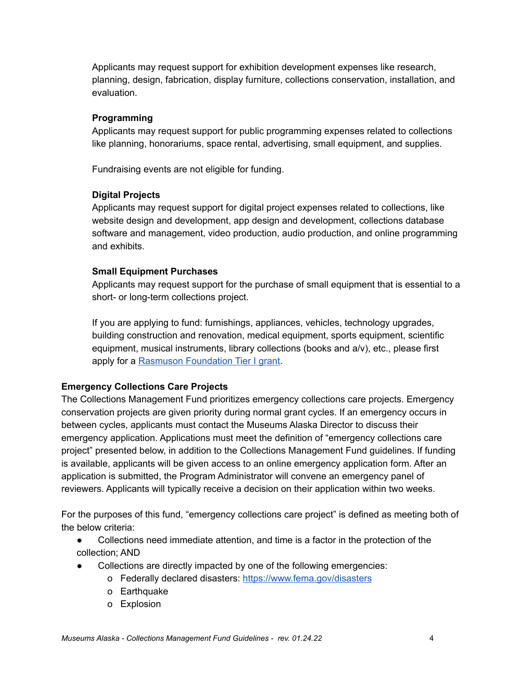Applicants may request support for exhibition development expenses like research, planning, design, fabrication, display furniture, collections conservation, installation, and evaluation.

#### **Programming**

Applicants may request support for public programming expenses related to collections like planning, honorariums, space rental, advertising, small equipment, and supplies.

Fundraising events are not eligible for funding.

#### **Digital Projects**

Applicants may request support for digital project expenses related to collections, like website design and development, app design and development, collections database software and management, video production, audio production, and online programming and exhibits.

#### **Small Equipment Purchases**

Applicants may request support for the purchase of small equipment that is essential to a short- or long-term collections project.

If you are applying to fund: furnishings, appliances, vehicles, technology upgrades, building construction and renovation, medical equipment, sports equipment, scientific equipment, musical instruments, library collections (books and a/v), etc., please first apply for a Rasmuson [Foundation](https://www.rasmuson.org/grants/tier-1-grants/) Tier I grant.

## **Emergency Collections Care Projects**

The Collections Management Fund prioritizes emergency collections care projects. Emergency conservation projects are given priority during normal grant cycles. If an emergency occurs in between cycles, applicants must contact the Museums Alaska Director to discuss their emergency application. Applications must meet the definition of "emergency collections care project" presented below, in addition to the Collections Management Fund guidelines. If funding is available, applicants will be given access to an online emergency application form. After an application is submitted, the Program Administrator will convene an emergency panel of reviewers. Applicants will typically receive a decision on their application within two weeks.

For the purposes of this fund, "emergency collections care project" is defined as meeting both of the below criteria:

- Collections need immediate attention, and time is a factor in the protection of the collection; AND
- Collections are directly impacted by one of the following emergencies:
	- o Federally declared disasters: <https://www.fema.gov/disasters>
	- o Earthquake
	- o Explosion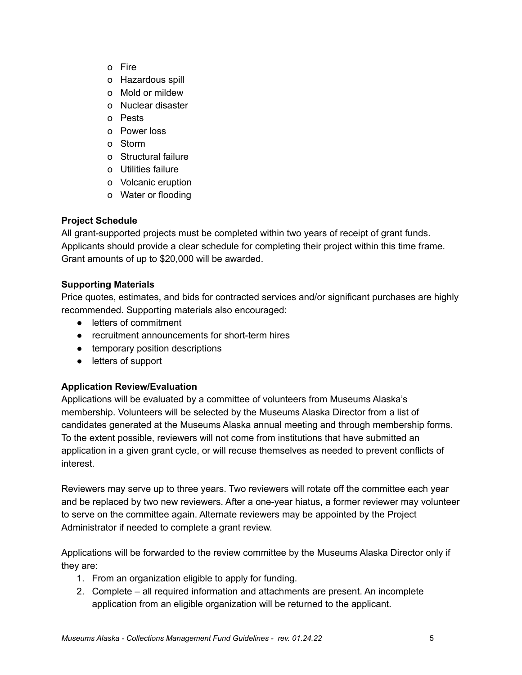- o Fire
- o Hazardous spill
- o Mold or mildew
- o Nuclear disaster
- o Pests
- o Power loss
- o Storm
- o Structural failure
- o Utilities failure
- o Volcanic eruption
- o Water or flooding

# **Project Schedule**

All grant-supported projects must be completed within two years of receipt of grant funds. Applicants should provide a clear schedule for completing their project within this time frame. Grant amounts of up to \$20,000 will be awarded.

## **Supporting Materials**

Price quotes, estimates, and bids for contracted services and/or significant purchases are highly recommended. Supporting materials also encouraged:

- letters of commitment
- recruitment announcements for short-term hires
- temporary position descriptions
- letters of support

## **Application Review/Evaluation**

Applications will be evaluated by a committee of volunteers from Museums Alaska's membership. Volunteers will be selected by the Museums Alaska Director from a list of candidates generated at the Museums Alaska annual meeting and through membership forms. To the extent possible, reviewers will not come from institutions that have submitted an application in a given grant cycle, or will recuse themselves as needed to prevent conflicts of interest.

Reviewers may serve up to three years. Two reviewers will rotate off the committee each year and be replaced by two new reviewers. After a one-year hiatus, a former reviewer may volunteer to serve on the committee again. Alternate reviewers may be appointed by the Project Administrator if needed to complete a grant review.

Applications will be forwarded to the review committee by the Museums Alaska Director only if they are:

- 1. From an organization eligible to apply for funding.
- 2. Complete all required information and attachments are present. An incomplete application from an eligible organization will be returned to the applicant.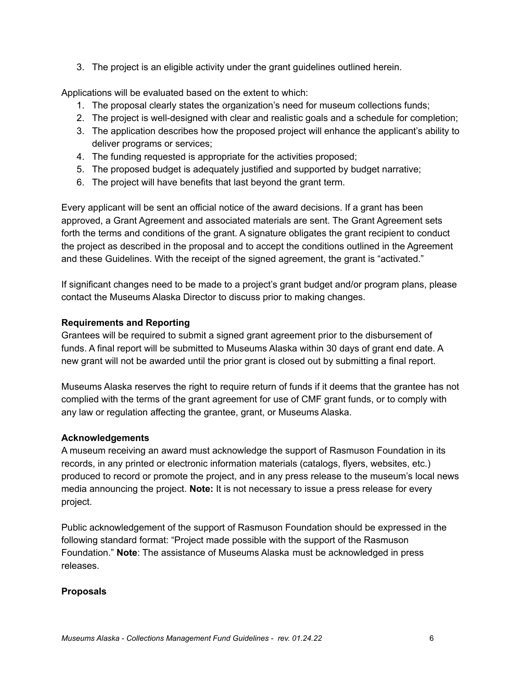3. The project is an eligible activity under the grant guidelines outlined herein.

Applications will be evaluated based on the extent to which:

- 1. The proposal clearly states the organization's need for museum collections funds;
- 2. The project is well-designed with clear and realistic goals and a schedule for completion;
- 3. The application describes how the proposed project will enhance the applicant's ability to deliver programs or services;
- 4. The funding requested is appropriate for the activities proposed;
- 5. The proposed budget is adequately justified and supported by budget narrative;
- 6. The project will have benefits that last beyond the grant term.

Every applicant will be sent an official notice of the award decisions. If a grant has been approved, a Grant Agreement and associated materials are sent. The Grant Agreement sets forth the terms and conditions of the grant. A signature obligates the grant recipient to conduct the project as described in the proposal and to accept the conditions outlined in the Agreement and these Guidelines. With the receipt of the signed agreement, the grant is "activated."

If significant changes need to be made to a project's grant budget and/or program plans, please contact the Museums Alaska Director to discuss prior to making changes.

## **Requirements and Reporting**

Grantees will be required to submit a signed grant agreement prior to the disbursement of funds. A final report will be submitted to Museums Alaska within 30 days of grant end date. A new grant will not be awarded until the prior grant is closed out by submitting a final report.

Museums Alaska reserves the right to require return of funds if it deems that the grantee has not complied with the terms of the grant agreement for use of CMF grant funds, or to comply with any law or regulation affecting the grantee, grant, or Museums Alaska.

## **Acknowledgements**

A museum receiving an award must acknowledge the support of Rasmuson Foundation in its records, in any printed or electronic information materials (catalogs, flyers, websites, etc.) produced to record or promote the project, and in any press release to the museum's local news media announcing the project. **Note:** It is not necessary to issue a press release for every project.

Public acknowledgement of the support of Rasmuson Foundation should be expressed in the following standard format: "Project made possible with the support of the Rasmuson Foundation." **Note**: The assistance of Museums Alaska must be acknowledged in press releases.

## **Proposals**